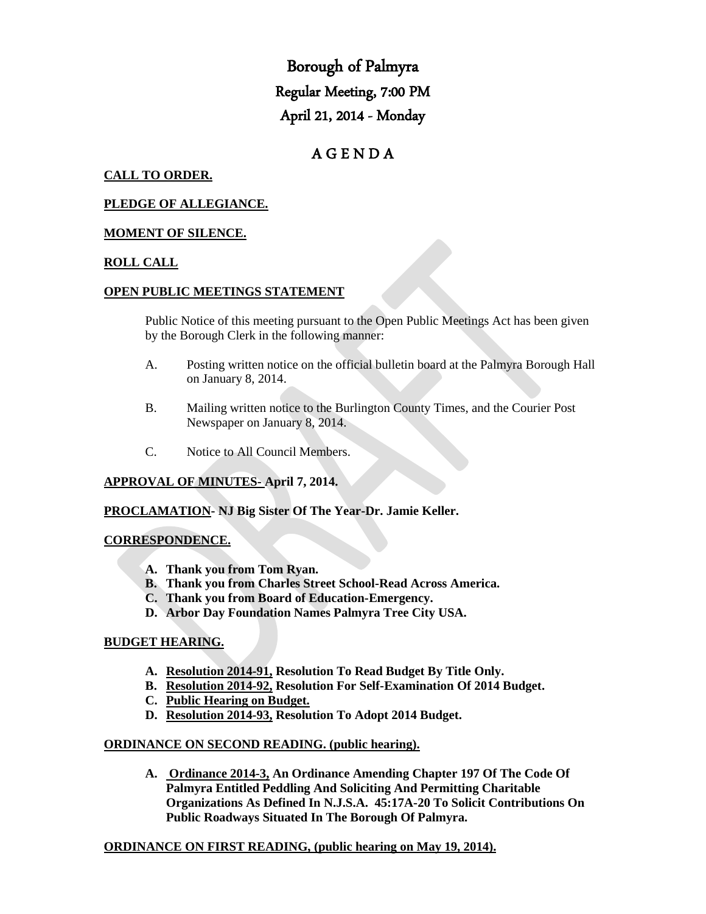Borough of Palmyra Regular Meeting, 7:00 PM April 21, 2014 - Monday

# A G E N D A

# **CALL TO ORDER.**

#### **PLEDGE OF ALLEGIANCE.**

#### **MOMENT OF SILENCE.**

#### **ROLL CALL**

#### **OPEN PUBLIC MEETINGS STATEMENT**

Public Notice of this meeting pursuant to the Open Public Meetings Act has been given by the Borough Clerk in the following manner:

- A. Posting written notice on the official bulletin board at the Palmyra Borough Hall on January 8, 2014.
- B. Mailing written notice to the Burlington County Times, and the Courier Post Newspaper on January 8, 2014.
- C. Notice to All Council Members.

#### **APPROVAL OF MINUTES- April 7, 2014.**

#### **PROCLAMATION- NJ Big Sister Of The Year-Dr. Jamie Keller.**

#### **CORRESPONDENCE.**

- **A. Thank you from Tom Ryan.**
- **B. Thank you from Charles Street School-Read Across America.**
- **C. Thank you from Board of Education-Emergency.**
- **D. Arbor Day Foundation Names Palmyra Tree City USA.**

#### **BUDGET HEARING.**

- **A. Resolution 2014-91, Resolution To Read Budget By Title Only.**
- **B. Resolution 2014-92, Resolution For Self-Examination Of 2014 Budget.**
- **C. Public Hearing on Budget.**
- **D. Resolution 2014-93, Resolution To Adopt 2014 Budget.**

#### **ORDINANCE ON SECOND READING. (public hearing).**

**A. Ordinance 2014-3, An Ordinance Amending Chapter 197 Of The Code Of Palmyra Entitled Peddling And Soliciting And Permitting Charitable Organizations As Defined In N.J.S.A. 45:17A-20 To Solicit Contributions On Public Roadways Situated In The Borough Of Palmyra.** 

#### **ORDINANCE ON FIRST READING, (public hearing on May 19, 2014).**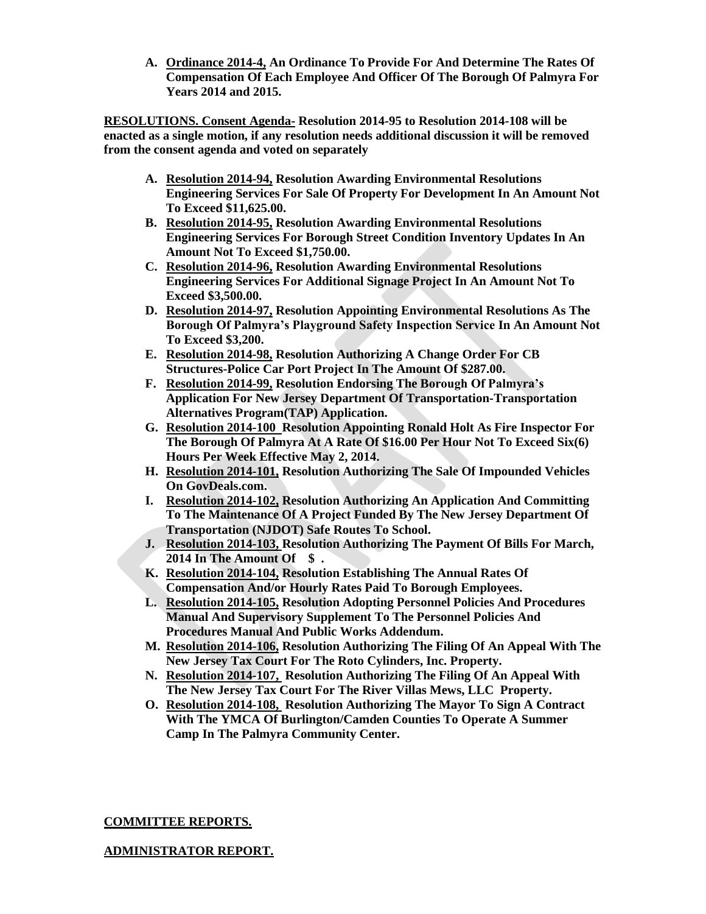**A. Ordinance 2014-4, An Ordinance To Provide For And Determine The Rates Of Compensation Of Each Employee And Officer Of The Borough Of Palmyra For Years 2014 and 2015.**

**RESOLUTIONS. Consent Agenda- Resolution 2014-95 to Resolution 2014-108 will be enacted as a single motion, if any resolution needs additional discussion it will be removed from the consent agenda and voted on separately**

- **A. Resolution 2014-94, Resolution Awarding Environmental Resolutions Engineering Services For Sale Of Property For Development In An Amount Not To Exceed \$11,625.00.**
- **B. Resolution 2014-95, Resolution Awarding Environmental Resolutions Engineering Services For Borough Street Condition Inventory Updates In An Amount Not To Exceed \$1,750.00.**
- **C. Resolution 2014-96, Resolution Awarding Environmental Resolutions Engineering Services For Additional Signage Project In An Amount Not To Exceed \$3,500.00.**
- **D. Resolution 2014-97, Resolution Appointing Environmental Resolutions As The Borough Of Palmyra's Playground Safety Inspection Service In An Amount Not To Exceed \$3,200.**
- **E. Resolution 2014-98, Resolution Authorizing A Change Order For CB Structures-Police Car Port Project In The Amount Of \$287.00.**
- **F. Resolution 2014-99, Resolution Endorsing The Borough Of Palmyra's Application For New Jersey Department Of Transportation-Transportation Alternatives Program(TAP) Application.**
- **G. Resolution 2014-100 Resolution Appointing Ronald Holt As Fire Inspector For The Borough Of Palmyra At A Rate Of \$16.00 Per Hour Not To Exceed Six(6) Hours Per Week Effective May 2, 2014.**
- **H. Resolution 2014-101, Resolution Authorizing The Sale Of Impounded Vehicles On GovDeals.com.**
- **I. Resolution 2014-102, Resolution Authorizing An Application And Committing To The Maintenance Of A Project Funded By The New Jersey Department Of Transportation (NJDOT) Safe Routes To School.**
- **J. Resolution 2014-103, Resolution Authorizing The Payment Of Bills For March, 2014 In The Amount Of \$ .**
- **K. Resolution 2014-104, Resolution Establishing The Annual Rates Of Compensation And/or Hourly Rates Paid To Borough Employees.**
- **L. Resolution 2014-105, Resolution Adopting Personnel Policies And Procedures Manual And Supervisory Supplement To The Personnel Policies And Procedures Manual And Public Works Addendum.**
- **M. Resolution 2014-106, Resolution Authorizing The Filing Of An Appeal With The New Jersey Tax Court For The Roto Cylinders, Inc. Property.**
- **N. Resolution 2014-107, Resolution Authorizing The Filing Of An Appeal With The New Jersey Tax Court For The River Villas Mews, LLC Property.**
- **O. Resolution 2014-108, Resolution Authorizing The Mayor To Sign A Contract With The YMCA Of Burlington/Camden Counties To Operate A Summer Camp In The Palmyra Community Center.**

# **COMMITTEE REPORTS.**

# **ADMINISTRATOR REPORT.**